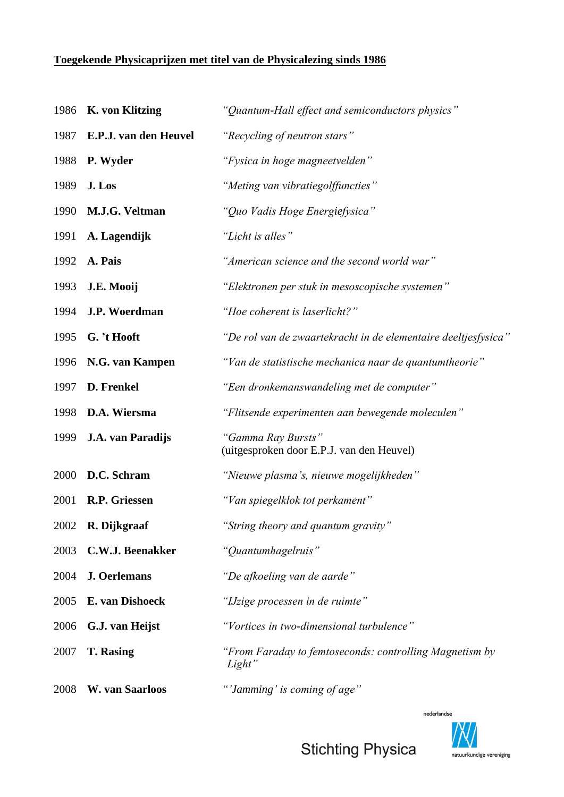## **Toegekende Physicaprijzen met titel van de Physicalezing sinds 1986**

| 1986 | <b>K.</b> von Klitzing | "Quantum-Hall effect and semiconductors physics"                  |
|------|------------------------|-------------------------------------------------------------------|
| 1987 | E.P.J. van den Heuvel  | "Recycling of neutron stars"                                      |
| 1988 | P. Wyder               | "Fysica in hoge magneetvelden"                                    |
| 1989 | J. Los                 | "Meting van vibratiegolffuncties"                                 |
| 1990 | M.J.G. Veltman         | "Quo Vadis Hoge Energiefysica"                                    |
| 1991 | A. Lagendijk           | "Licht is alles"                                                  |
| 1992 | A. Pais                | "American science and the second world war"                       |
| 1993 | J.E. Mooij             | "Elektronen per stuk in mesoscopische systemen"                   |
| 1994 | J.P. Woerdman          | "Hoe coherent is laserlicht?"                                     |
| 1995 | G. 't Hooft            | "De rol van de zwaartekracht in de elementaire deeltjesfysica"    |
| 1996 | N.G. van Kampen        | "Van de statistische mechanica naar de quantumtheorie"            |
| 1997 | D. Frenkel             | "Een dronkemanswandeling met de computer"                         |
| 1998 | D.A. Wiersma           | "Flitsende experimenten aan bewegende moleculen"                  |
| 1999 | J.A. van Paradijs      | "Gamma Ray Bursts"<br>(uitgesproken door E.P.J. van den Heuvel)   |
| 2000 | D.C. Schram            | "Nieuwe plasma's, nieuwe mogelijkheden"                           |
| 2001 | R.P. Griessen          | "Van spiegelklok tot perkament"                                   |
| 2002 | R. Dijkgraaf           | "String theory and quantum gravity"                               |
| 2003 | C.W.J. Beenakker       | "Quantumhagelruis"                                                |
| 2004 | <b>J. Oerlemans</b>    | "De afkoeling van de aarde"                                       |
| 2005 | E. van Dishoeck        | "IJzige processen in de ruimte"                                   |
| 2006 | G.J. van Heijst        | "Vortices in two-dimensional turbulence"                          |
| 2007 | <b>T. Rasing</b>       | "From Faraday to femtoseconds: controlling Magnetism by<br>Light" |
| 2008 | W. van Saarloos        | "'Jamming' is coming of age"                                      |



**Stichting Physica**